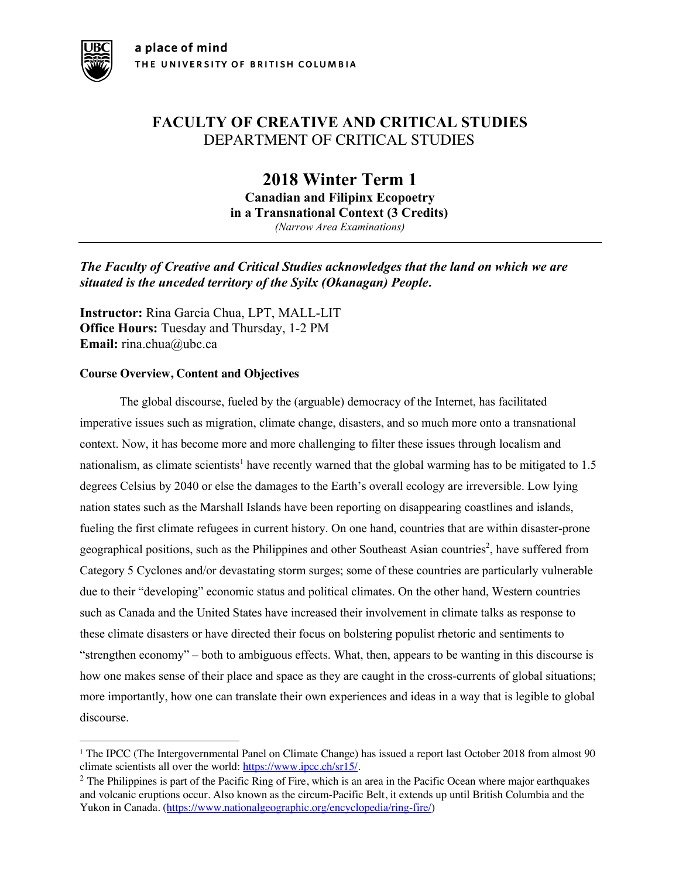# **FACULTY OF CREATIVE AND CRITICAL STUDIES** DEPARTMENT OF CRITICAL STUDIES

**2018 Winter Term 1 Canadian and Filipinx Ecopoetry in a Transnational Context (3 Credits)** *(Narrow Area Examinations)*

*The Faculty of Creative and Critical Studies acknowledges that the land on which we are situated is the unceded territory of the Syilx (Okanagan) People.*

**Instructor:** Rina Garcia Chua, LPT, MALL-LIT **Office Hours:** Tuesday and Thursday, 1-2 PM **Email:** rina.chua@ubc.ca

# **Course Overview, Content and Objectives**

The global discourse, fueled by the (arguable) democracy of the Internet, has facilitated imperative issues such as migration, climate change, disasters, and so much more onto a transnational context. Now, it has become more and more challenging to filter these issues through localism and nationalism, as climate scientists<sup>1</sup> have recently warned that the global warming has to be mitigated to 1.5 degrees Celsius by 2040 or else the damages to the Earth's overall ecology are irreversible. Low lying nation states such as the Marshall Islands have been reporting on disappearing coastlines and islands, fueling the first climate refugees in current history. On one hand, countries that are within disaster-prone geographical positions, such as the Philippines and other Southeast Asian countries<sup>2</sup>, have suffered from Category 5 Cyclones and/or devastating storm surges; some of these countries are particularly vulnerable due to their "developing" economic status and political climates. On the other hand, Western countries such as Canada and the United States have increased their involvement in climate talks as response to these climate disasters or have directed their focus on bolstering populist rhetoric and sentiments to "strengthen economy" – both to ambiguous effects. What, then, appears to be wanting in this discourse is how one makes sense of their place and space as they are caught in the cross-currents of global situations; more importantly, how one can translate their own experiences and ideas in a way that is legible to global discourse.

<sup>&</sup>lt;sup>1</sup> The IPCC (The Intergovernmental Panel on Climate Change) has issued a report last October 2018 from almost 90 climate scientists all over the world:  $\frac{https://www.jpcc.ch/sr15/}{https://www.jpcc.ch/sr15/}.$ 

 $2$  The Philippines is part of the Pacific Ring of Fire, which is an area in the Pacific Ocean where major earthquakes and volcanic eruptions occur. Also known as the circum-Pacific Belt, it extends up until British Columbia and the Yukon in Canada. (https://www.nationalgeographic.org/encyclopedia/ring-fire/)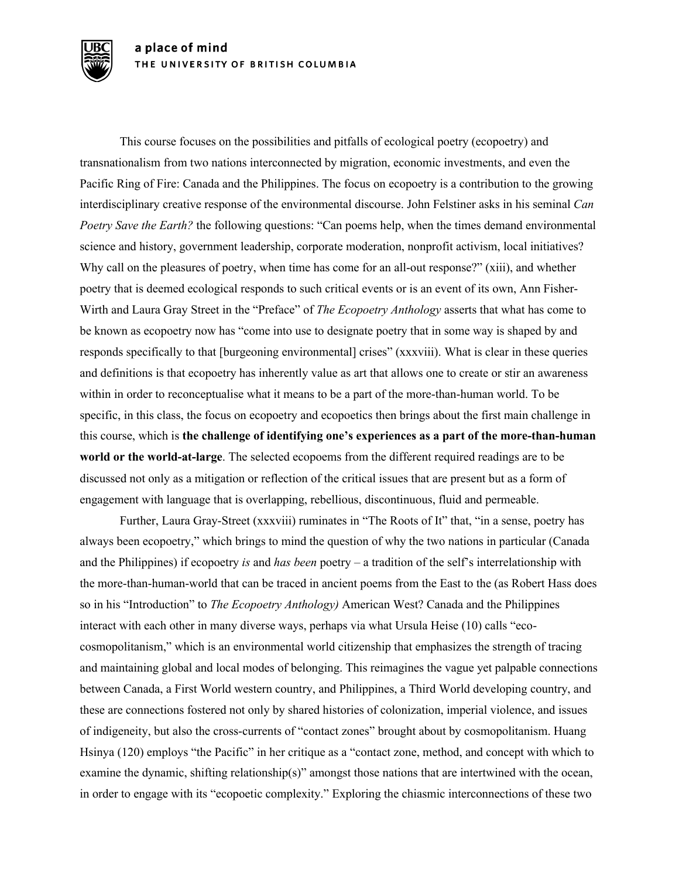This course focuses on the possibilities and pitfalls of ecological poetry (ecopoetry) and transnationalism from two nations interconnected by migration, economic investments, and even the Pacific Ring of Fire: Canada and the Philippines. The focus on ecopoetry is a contribution to the growing interdisciplinary creative response of the environmental discourse. John Felstiner asks in his seminal *Can Poetry Save the Earth?* the following questions: "Can poems help, when the times demand environmental science and history, government leadership, corporate moderation, nonprofit activism, local initiatives? Why call on the pleasures of poetry, when time has come for an all-out response?" (xiii), and whether poetry that is deemed ecological responds to such critical events or is an event of its own, Ann Fisher-Wirth and Laura Gray Street in the "Preface" of *The Ecopoetry Anthology* asserts that what has come to be known as ecopoetry now has "come into use to designate poetry that in some way is shaped by and responds specifically to that [burgeoning environmental] crises" (xxxviii). What is clear in these queries and definitions is that ecopoetry has inherently value as art that allows one to create or stir an awareness within in order to reconceptualise what it means to be a part of the more-than-human world. To be specific, in this class, the focus on ecopoetry and ecopoetics then brings about the first main challenge in this course, which is **the challenge of identifying one's experiences as a part of the more-than-human world or the world-at-large**. The selected ecopoems from the different required readings are to be discussed not only as a mitigation or reflection of the critical issues that are present but as a form of engagement with language that is overlapping, rebellious, discontinuous, fluid and permeable.

Further, Laura Gray-Street (xxxviii) ruminates in "The Roots of It" that, "in a sense, poetry has always been ecopoetry," which brings to mind the question of why the two nations in particular (Canada and the Philippines) if ecopoetry *is* and *has been* poetry – a tradition of the self's interrelationship with the more-than-human-world that can be traced in ancient poems from the East to the (as Robert Hass does so in his "Introduction" to *The Ecopoetry Anthology)* American West? Canada and the Philippines interact with each other in many diverse ways, perhaps via what Ursula Heise (10) calls "ecocosmopolitanism," which is an environmental world citizenship that emphasizes the strength of tracing and maintaining global and local modes of belonging. This reimagines the vague yet palpable connections between Canada, a First World western country, and Philippines, a Third World developing country, and these are connections fostered not only by shared histories of colonization, imperial violence, and issues of indigeneity, but also the cross-currents of "contact zones" brought about by cosmopolitanism. Huang Hsinya (120) employs "the Pacific" in her critique as a "contact zone, method, and concept with which to examine the dynamic, shifting relationship(s)" amongst those nations that are intertwined with the ocean, in order to engage with its "ecopoetic complexity." Exploring the chiasmic interconnections of these two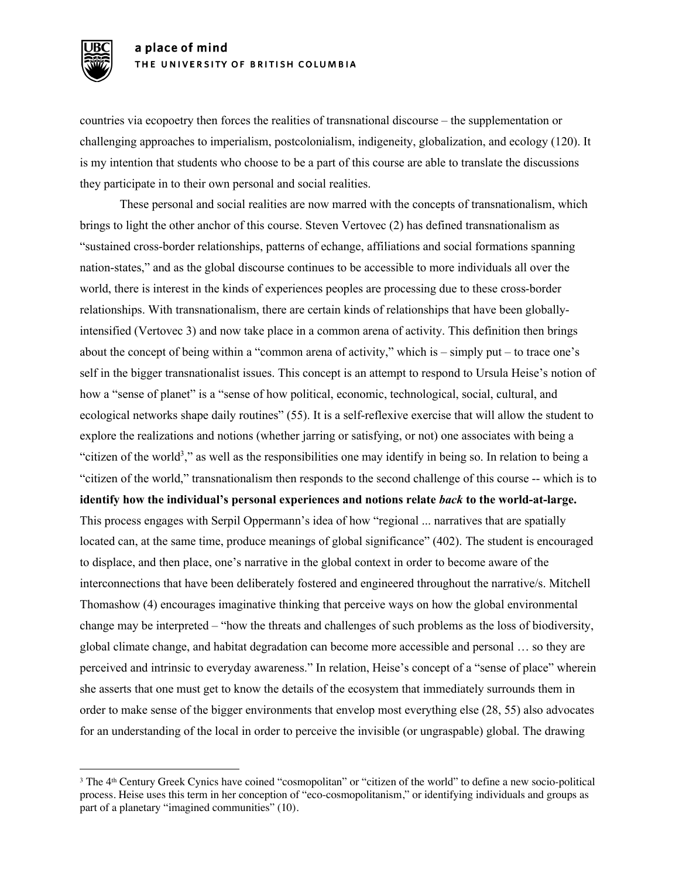countries via ecopoetry then forces the realities of transnational discourse – the supplementation or challenging approaches to imperialism, postcolonialism, indigeneity, globalization, and ecology (120). It is my intention that students who choose to be a part of this course are able to translate the discussions they participate in to their own personal and social realities.

These personal and social realities are now marred with the concepts of transnationalism, which brings to light the other anchor of this course. Steven Vertovec (2) has defined transnationalism as "sustained cross-border relationships, patterns of echange, affiliations and social formations spanning nation-states," and as the global discourse continues to be accessible to more individuals all over the world, there is interest in the kinds of experiences peoples are processing due to these cross-border relationships. With transnationalism, there are certain kinds of relationships that have been globallyintensified (Vertovec 3) and now take place in a common arena of activity. This definition then brings about the concept of being within a "common arena of activity," which is – simply put – to trace one's self in the bigger transnationalist issues. This concept is an attempt to respond to Ursula Heise's notion of how a "sense of planet" is a "sense of how political, economic, technological, social, cultural, and ecological networks shape daily routines" (55). It is a self-reflexive exercise that will allow the student to explore the realizations and notions (whether jarring or satisfying, or not) one associates with being a "citizen of the world<sup>3</sup>," as well as the responsibilities one may identify in being so. In relation to being a "citizen of the world," transnationalism then responds to the second challenge of this course -- which is to **identify how the individual's personal experiences and notions relate** *back* **to the world-at-large.** This process engages with Serpil Oppermann's idea of how "regional ... narratives that are spatially located can, at the same time, produce meanings of global significance" (402). The student is encouraged to displace, and then place, one's narrative in the global context in order to become aware of the interconnections that have been deliberately fostered and engineered throughout the narrative/s. Mitchell Thomashow (4) encourages imaginative thinking that perceive ways on how the global environmental change may be interpreted – "how the threats and challenges of such problems as the loss of biodiversity, global climate change, and habitat degradation can become more accessible and personal … so they are perceived and intrinsic to everyday awareness." In relation, Heise's concept of a "sense of place" wherein she asserts that one must get to know the details of the ecosystem that immediately surrounds them in order to make sense of the bigger environments that envelop most everything else (28, 55) also advocates for an understanding of the local in order to perceive the invisible (or ungraspable) global. The drawing

<sup>&</sup>lt;sup>3</sup> The 4<sup>th</sup> Century Greek Cynics have coined "cosmopolitan" or "citizen of the world" to define a new socio-political process. Heise uses this term in her conception of "eco-cosmopolitanism," or identifying individuals and groups as part of a planetary "imagined communities" (10).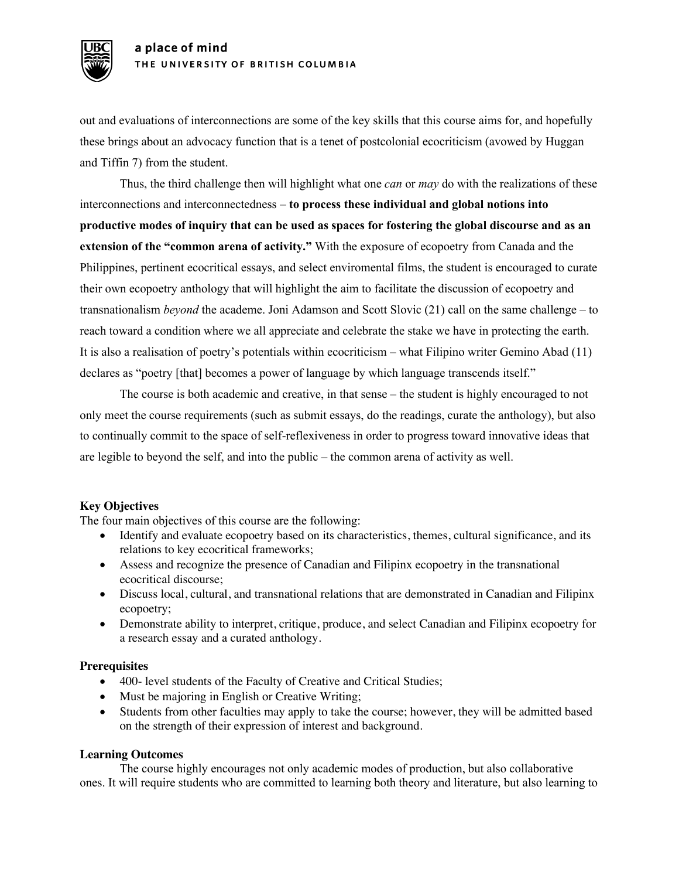out and evaluations of interconnections are some of the key skills that this course aims for, and hopefully these brings about an advocacy function that is a tenet of postcolonial ecocriticism (avowed by Huggan and Tiffin 7) from the student.

Thus, the third challenge then will highlight what one *can* or *may* do with the realizations of these interconnections and interconnectedness – **to process these individual and global notions into productive modes of inquiry that can be used as spaces for fostering the global discourse and as an extension of the "common arena of activity."** With the exposure of ecopoetry from Canada and the Philippines, pertinent ecocritical essays, and select enviromental films, the student is encouraged to curate their own ecopoetry anthology that will highlight the aim to facilitate the discussion of ecopoetry and transnationalism *beyond* the academe. Joni Adamson and Scott Slovic (21) call on the same challenge – to reach toward a condition where we all appreciate and celebrate the stake we have in protecting the earth. It is also a realisation of poetry's potentials within ecocriticism – what Filipino writer Gemino Abad (11) declares as "poetry [that] becomes a power of language by which language transcends itself."

The course is both academic and creative, in that sense – the student is highly encouraged to not only meet the course requirements (such as submit essays, do the readings, curate the anthology), but also to continually commit to the space of self-reflexiveness in order to progress toward innovative ideas that are legible to beyond the self, and into the public – the common arena of activity as well.

# **Key Objectives**

The four main objectives of this course are the following:

- Identify and evaluate ecopoetry based on its characteristics, themes, cultural significance, and its relations to key ecocritical frameworks;
- Assess and recognize the presence of Canadian and Filipinx ecopoetry in the transnational ecocritical discourse;
- Discuss local, cultural, and transnational relations that are demonstrated in Canadian and Filipinx ecopoetry;
- Demonstrate ability to interpret, critique, produce, and select Canadian and Filipinx ecopoetry for a research essay and a curated anthology.

# **Prerequisites**

- 400- level students of the Faculty of Creative and Critical Studies;
- Must be majoring in English or Creative Writing;
- Students from other faculties may apply to take the course; however, they will be admitted based on the strength of their expression of interest and background.

#### **Learning Outcomes**

The course highly encourages not only academic modes of production, but also collaborative ones. It will require students who are committed to learning both theory and literature, but also learning to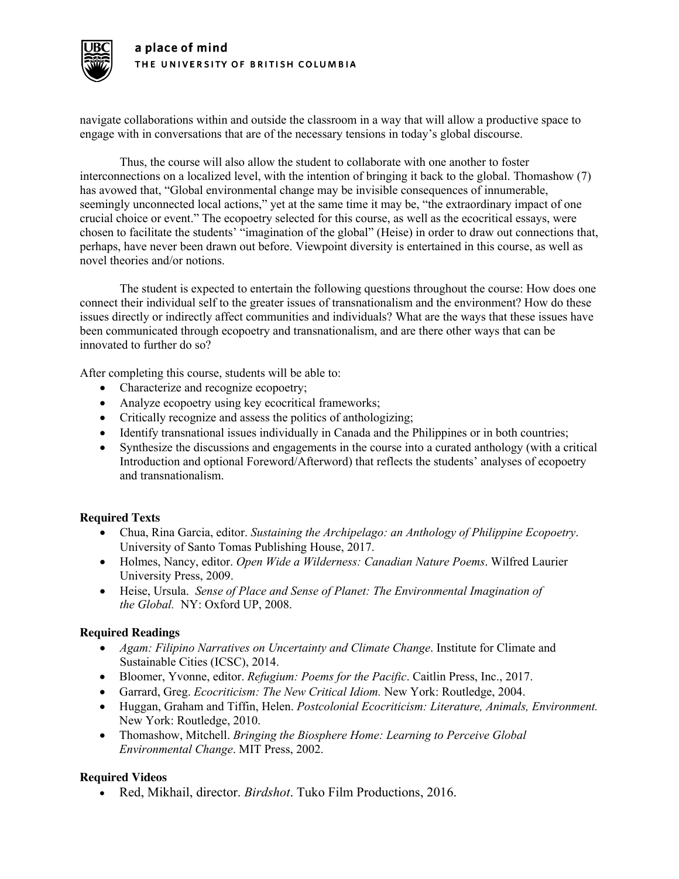

navigate collaborations within and outside the classroom in a way that will allow a productive space to engage with in conversations that are of the necessary tensions in today's global discourse.

Thus, the course will also allow the student to collaborate with one another to foster interconnections on a localized level, with the intention of bringing it back to the global. Thomashow (7) has avowed that, "Global environmental change may be invisible consequences of innumerable, seemingly unconnected local actions," yet at the same time it may be, "the extraordinary impact of one crucial choice or event." The ecopoetry selected for this course, as well as the ecocritical essays, were chosen to facilitate the students' "imagination of the global" (Heise) in order to draw out connections that, perhaps, have never been drawn out before. Viewpoint diversity is entertained in this course, as well as novel theories and/or notions.

The student is expected to entertain the following questions throughout the course: How does one connect their individual self to the greater issues of transnationalism and the environment? How do these issues directly or indirectly affect communities and individuals? What are the ways that these issues have been communicated through ecopoetry and transnationalism, and are there other ways that can be innovated to further do so?

After completing this course, students will be able to:

- Characterize and recognize ecopoetry;
- Analyze ecopoetry using key ecocritical frameworks;
- Critically recognize and assess the politics of anthologizing;
- Identify transnational issues individually in Canada and the Philippines or in both countries;
- Synthesize the discussions and engagements in the course into a curated anthology (with a critical Introduction and optional Foreword/Afterword) that reflects the students' analyses of ecopoetry and transnationalism.

# **Required Texts**

- Chua, Rina Garcia, editor. *Sustaining the Archipelago: an Anthology of Philippine Ecopoetry*. University of Santo Tomas Publishing House, 2017.
- Holmes, Nancy, editor. *Open Wide a Wilderness: Canadian Nature Poems*. Wilfred Laurier University Press, 2009.
- Heise, Ursula. *Sense of Place and Sense of Planet: The Environmental Imagination of the Global.* NY: Oxford UP, 2008.

# **Required Readings**

- *Agam: Filipino Narratives on Uncertainty and Climate Change*. Institute for Climate and Sustainable Cities (ICSC), 2014.
- Bloomer, Yvonne, editor. *Refugium: Poems for the Pacific*. Caitlin Press, Inc., 2017.
- Garrard, Greg. *Ecocriticism: The New Critical Idiom.* New York: Routledge, 2004.
- Huggan, Graham and Tiffin, Helen. *Postcolonial Ecocriticism: Literature, Animals, Environment.*  New York: Routledge, 2010.
- Thomashow, Mitchell. *Bringing the Biosphere Home: Learning to Perceive Global Environmental Change*. MIT Press, 2002.

# **Required Videos**

• Red, Mikhail, director. *Birdshot*. Tuko Film Productions, 2016.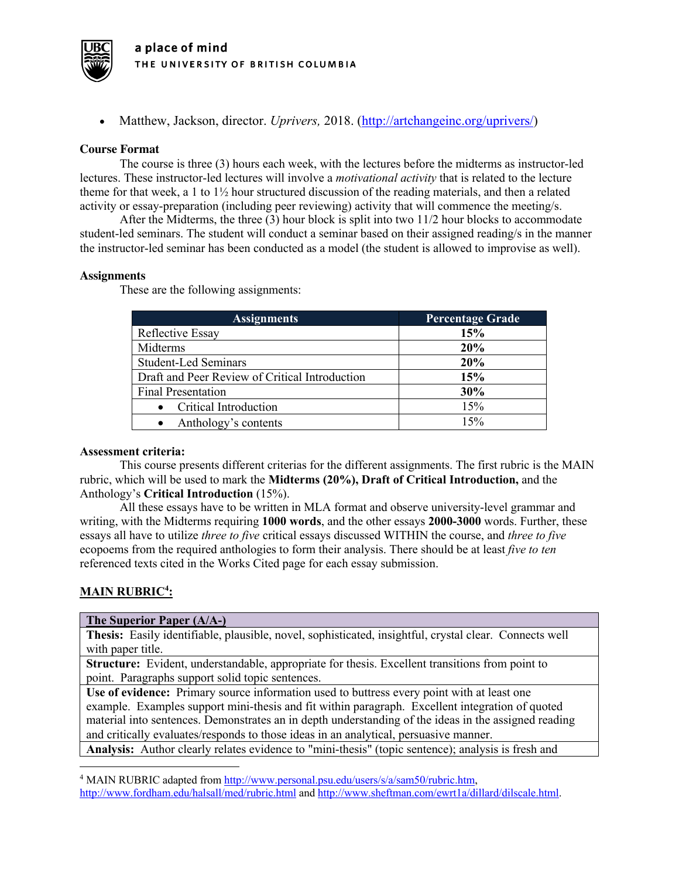

• Matthew, Jackson, director. *Uprivers,* 2018. (http://artchangeinc.org/uprivers/)

#### **Course Format**

The course is three (3) hours each week, with the lectures before the midterms as instructor-led lectures. These instructor-led lectures will involve a *motivational activity* that is related to the lecture theme for that week, a 1 to 1½ hour structured discussion of the reading materials, and then a related activity or essay-preparation (including peer reviewing) activity that will commence the meeting/s.

After the Midterms, the three (3) hour block is split into two 11/2 hour blocks to accommodate student-led seminars. The student will conduct a seminar based on their assigned reading/s in the manner the instructor-led seminar has been conducted as a model (the student is allowed to improvise as well).

#### **Assignments**

These are the following assignments:

| <b>Assignments</b>                             | <b>Percentage Grade</b> |
|------------------------------------------------|-------------------------|
| Reflective Essay                               | 15%                     |
| Midterms                                       | 20%                     |
| <b>Student-Led Seminars</b>                    | 20%                     |
| Draft and Peer Review of Critical Introduction | 15%                     |
| <b>Final Presentation</b>                      | 30%                     |
| <b>Critical Introduction</b>                   | 15%                     |
| Anthology's contents                           | 15%                     |

#### **Assessment criteria:**

This course presents different criterias for the different assignments. The first rubric is the MAIN rubric, which will be used to mark the **Midterms (20%), Draft of Critical Introduction,** and the Anthology's **Critical Introduction** (15%).

All these essays have to be written in MLA format and observe university-level grammar and writing, with the Midterms requiring **1000 words**, and the other essays **2000-3000** words. Further, these essays all have to utilize *three to five* critical essays discussed WITHIN the course, and *three to five* ecopoems from the required anthologies to form their analysis. There should be at least *five to ten* referenced texts cited in the Works Cited page for each essay submission.

# **MAIN RUBRIC<sup>4</sup> :**

**The Superior Paper (A/A-)**

| The Superior Paper (A/A-)                                                                              |  |
|--------------------------------------------------------------------------------------------------------|--|
| Thesis: Easily identifiable, plausible, novel, sophisticated, insightful, crystal clear. Connects well |  |
| with paper title.                                                                                      |  |

**Structure:** Evident, understandable, appropriate for thesis. Excellent transitions from point to point. Paragraphs support solid topic sentences.

**Use of evidence:** Primary source information used to buttress every point with at least one example. Examples support mini-thesis and fit within paragraph. Excellent integration of quoted material into sentences. Demonstrates an in depth understanding of the ideas in the assigned reading and critically evaluates/responds to those ideas in an analytical, persuasive manner.

**Analysis:** Author clearly relates evidence to "mini-thesis" (topic sentence); analysis is fresh and

<sup>4</sup> MAIN RUBRIC adapted from http://www.personal.psu.edu/users/s/a/sam50/rubric.htm, http://www.fordham.edu/halsall/med/rubric.html and http://www.sheftman.com/ewrt1a/dillard/dilscale.html.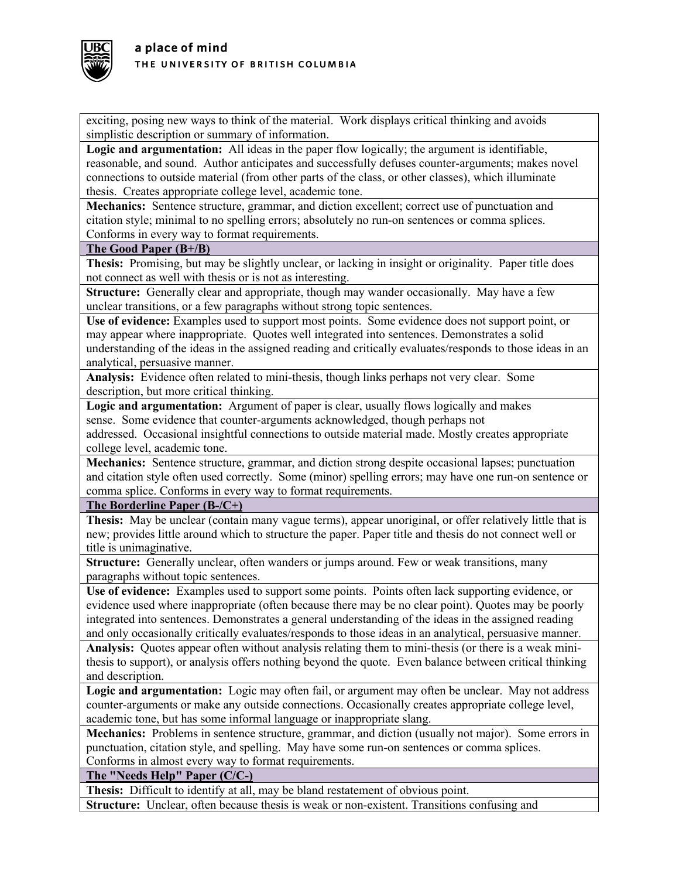

exciting, posing new ways to think of the material. Work displays critical thinking and avoids simplistic description or summary of information.

**Logic and argumentation:** All ideas in the paper flow logically; the argument is identifiable, reasonable, and sound. Author anticipates and successfully defuses counter-arguments; makes novel connections to outside material (from other parts of the class, or other classes), which illuminate thesis. Creates appropriate college level, academic tone.

**Mechanics:** Sentence structure, grammar, and diction excellent; correct use of punctuation and citation style; minimal to no spelling errors; absolutely no run-on sentences or comma splices. Conforms in every way to format requirements.

#### **The Good Paper (B+/B)**

**Thesis:** Promising, but may be slightly unclear, or lacking in insight or originality. Paper title does not connect as well with thesis or is not as interesting.

**Structure:** Generally clear and appropriate, though may wander occasionally. May have a few unclear transitions, or a few paragraphs without strong topic sentences.

**Use of evidence:** Examples used to support most points. Some evidence does not support point, or may appear where inappropriate. Quotes well integrated into sentences. Demonstrates a solid understanding of the ideas in the assigned reading and critically evaluates/responds to those ideas in an analytical, persuasive manner.

**Analysis:** Evidence often related to mini-thesis, though links perhaps not very clear. Some description, but more critical thinking.

**Logic and argumentation:** Argument of paper is clear, usually flows logically and makes sense. Some evidence that counter-arguments acknowledged, though perhaps not

addressed. Occasional insightful connections to outside material made. Mostly creates appropriate college level, academic tone.

**Mechanics:** Sentence structure, grammar, and diction strong despite occasional lapses; punctuation and citation style often used correctly. Some (minor) spelling errors; may have one run-on sentence or comma splice. Conforms in every way to format requirements.

**The Borderline Paper (B-/C+)**

**Thesis:** May be unclear (contain many vague terms), appear unoriginal, or offer relatively little that is new; provides little around which to structure the paper. Paper title and thesis do not connect well or title is unimaginative.

**Structure:** Generally unclear, often wanders or jumps around. Few or weak transitions, many paragraphs without topic sentences.

**Use of evidence:** Examples used to support some points. Points often lack supporting evidence, or evidence used where inappropriate (often because there may be no clear point). Quotes may be poorly integrated into sentences. Demonstrates a general understanding of the ideas in the assigned reading and only occasionally critically evaluates/responds to those ideas in an analytical, persuasive manner.

**Analysis:** Quotes appear often without analysis relating them to mini-thesis (or there is a weak minithesis to support), or analysis offers nothing beyond the quote. Even balance between critical thinking and description.

**Logic and argumentation:** Logic may often fail, or argument may often be unclear. May not address counter-arguments or make any outside connections. Occasionally creates appropriate college level, academic tone, but has some informal language or inappropriate slang.

**Mechanics:** Problems in sentence structure, grammar, and diction (usually not major). Some errors in punctuation, citation style, and spelling. May have some run-on sentences or comma splices. Conforms in almost every way to format requirements.

**The "Needs Help" Paper (C/C-)**

**Thesis:** Difficult to identify at all, may be bland restatement of obvious point.

**Structure:** Unclear, often because thesis is weak or non-existent. Transitions confusing and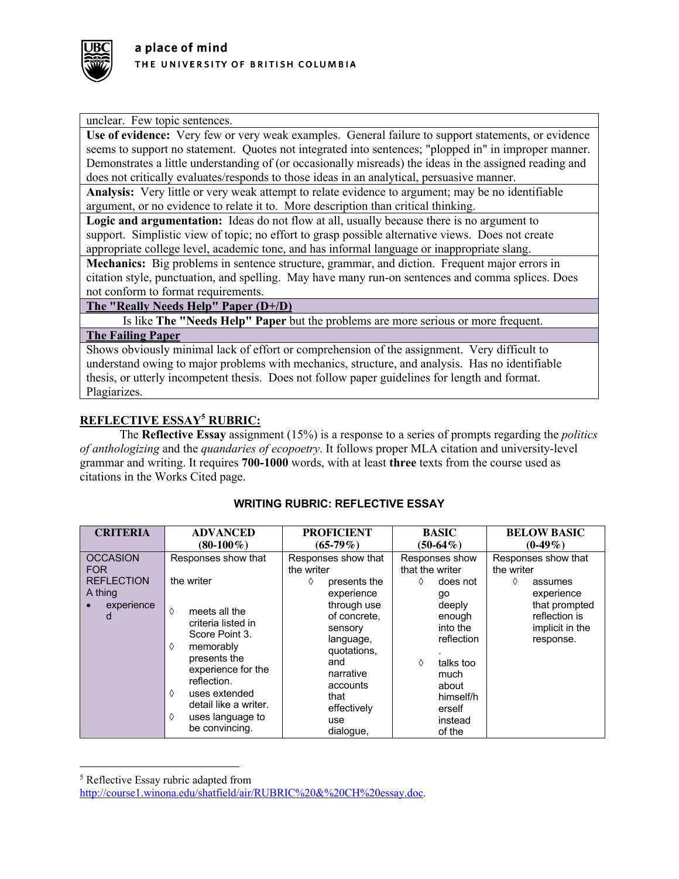

unclear. Few topic sentences.

**Use of evidence:** Very few or very weak examples. General failure to support statements, or evidence seems to support no statement. Quotes not integrated into sentences; "plopped in" in improper manner. Demonstrates a little understanding of (or occasionally misreads) the ideas in the assigned reading and does not critically evaluates/responds to those ideas in an analytical, persuasive manner.

**Analysis:** Very little or very weak attempt to relate evidence to argument; may be no identifiable argument, or no evidence to relate it to. More description than critical thinking.

**Logic and argumentation:** Ideas do not flow at all, usually because there is no argument to support. Simplistic view of topic; no effort to grasp possible alternative views. Does not create appropriate college level, academic tone, and has informal language or inappropriate slang.

**Mechanics:** Big problems in sentence structure, grammar, and diction. Frequent major errors in citation style, punctuation, and spelling. May have many run-on sentences and comma splices. Does not conform to format requirements.

# **The "Really Needs Help" Paper (D+/D)**

Is like **The "Needs Help" Paper** but the problems are more serious or more frequent. **The Failing Paper**

Shows obviously minimal lack of effort or comprehension of the assignment. Very difficult to understand owing to major problems with mechanics, structure, and analysis. Has no identifiable thesis, or utterly incompetent thesis. Does not follow paper guidelines for length and format. Plagiarizes.

# **REFLECTIVE ESSAY5 RUBRIC:**

The **Reflective Essay** assignment (15%) is a response to a series of prompts regarding the *politics of anthologizing* and the *quandaries of ecopoetry*. It follows proper MLA citation and university-level grammar and writing. It requires **700-1000** words, with at least **three** texts from the course used as citations in the Works Cited page.

| <b>CRITERIA</b>                                                                  | <b>ADVANCED</b>                                                                                                                                                                                                                                                  | <b>PROFICIENT</b>                                                                                                                                                                                                     | <b>BASIC</b>                                                                                                                                                                          | <b>BELOW BASIC</b>                                                                                                                |  |
|----------------------------------------------------------------------------------|------------------------------------------------------------------------------------------------------------------------------------------------------------------------------------------------------------------------------------------------------------------|-----------------------------------------------------------------------------------------------------------------------------------------------------------------------------------------------------------------------|---------------------------------------------------------------------------------------------------------------------------------------------------------------------------------------|-----------------------------------------------------------------------------------------------------------------------------------|--|
|                                                                                  | $(80-100\%)$                                                                                                                                                                                                                                                     | $(65-79\%)$                                                                                                                                                                                                           | $(50-64\%)$                                                                                                                                                                           | $(0-49\%)$                                                                                                                        |  |
| <b>OCCASION</b><br><b>FOR</b><br><b>REFLECTION</b><br>A thing<br>experience<br>d | Responses show that<br>the writer<br>♦<br>meets all the<br>criteria listed in<br>Score Point 3.<br>memorably<br>♦<br>presents the<br>experience for the<br>reflection.<br>uses extended<br>♦<br>detail like a writer.<br>♦<br>uses language to<br>be convincing. | Responses show that<br>the writer<br>presents the<br>♦<br>experience<br>through use<br>of concrete.<br>sensory<br>language,<br>quotations,<br>and<br>narrative<br>accounts<br>that<br>effectively<br>use<br>dialogue, | Responses show<br>that the writer<br>♦<br>does not<br>go<br>deeply<br>enough<br>into the<br>reflection<br>talks too<br>♦<br>much<br>about<br>himself/h<br>erself<br>instead<br>of the | Responses show that<br>the writer<br>♦<br>assumes<br>experience<br>that prompted<br>reflection is<br>implicit in the<br>response. |  |

# **WRITING RUBRIC: REFLECTIVE ESSAY**

<sup>5</sup> Reflective Essay rubric adapted from

http://course1.winona.edu/shatfield/air/RUBRIC%20&%20CH%20essay.doc.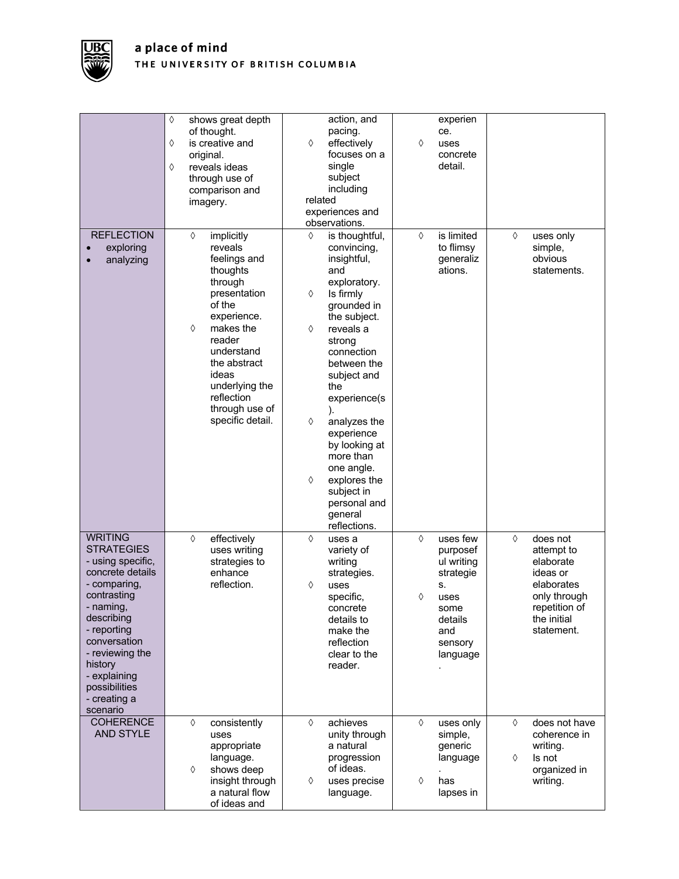

|                                                                                                                                                                                                                                                                  | ♦<br>shows great depth<br>of thought.<br>is creative and<br>♦<br>original.<br>reveals ideas<br>♦<br>through use of<br>comparison and<br>imagery.                                                                                                             | action, and<br>pacing.<br>effectively<br>♦<br>focuses on a<br>single<br>subject<br>including<br>related<br>experiences and<br>observations.                                                                                                                                                                                                                                           | experien<br>ce.<br>♦<br>uses<br>concrete<br>detail.                                                                      |                                                                                                                                  |
|------------------------------------------------------------------------------------------------------------------------------------------------------------------------------------------------------------------------------------------------------------------|--------------------------------------------------------------------------------------------------------------------------------------------------------------------------------------------------------------------------------------------------------------|---------------------------------------------------------------------------------------------------------------------------------------------------------------------------------------------------------------------------------------------------------------------------------------------------------------------------------------------------------------------------------------|--------------------------------------------------------------------------------------------------------------------------|----------------------------------------------------------------------------------------------------------------------------------|
| <b>REFLECTION</b><br>exploring<br>analyzing                                                                                                                                                                                                                      | $\Diamond$<br>implicitly<br>reveals<br>feelings and<br>thoughts<br>through<br>presentation<br>of the<br>experience.<br>♦<br>makes the<br>reader<br>understand<br>the abstract<br>ideas<br>underlying the<br>reflection<br>through use of<br>specific detail. | ♦<br>is thoughtful,<br>convincing,<br>insightful,<br>and<br>exploratory.<br>♦<br>Is firmly<br>grounded in<br>the subject.<br>♦<br>reveals a<br>strong<br>connection<br>between the<br>subject and<br>the<br>experience(s<br>♦<br>analyzes the<br>experience<br>by looking at<br>more than<br>one angle.<br>explores the<br>♦<br>subject in<br>personal and<br>general<br>reflections. | $\Diamond$<br>is limited<br>to flimsy<br>generaliz<br>ations.                                                            | ♦<br>uses only<br>simple,<br>obvious<br>statements.                                                                              |
| <b>WRITING</b><br><b>STRATEGIES</b><br>- using specific,<br>concrete details<br>- comparing,<br>contrasting<br>- naming,<br>describing<br>- reporting<br>conversation<br>- reviewing the<br>history<br>- explaining<br>possibilities<br>- creating a<br>scenario | effectively<br>♦<br>uses writing<br>strategies to<br>enhance<br>reflection.                                                                                                                                                                                  | ♦<br>uses a<br>variety of<br>writing<br>strategies.<br>♦<br>uses<br>specific,<br>concrete<br>details to<br>make the<br>reflection<br>clear to the<br>reader.                                                                                                                                                                                                                          | uses few<br>♦<br>purposef<br>ul writing<br>strategie<br>s.<br>♦<br>uses<br>some<br>details<br>and<br>sensory<br>language | ♦<br>does not<br>attempt to<br>elaborate<br>ideas or<br>elaborates<br>only through<br>repetition of<br>the initial<br>statement. |
| <b>COHERENCE</b><br>AND STYLE                                                                                                                                                                                                                                    | ♦<br>consistently<br>uses<br>appropriate<br>language.<br>shows deep<br>♦<br>insight through<br>a natural flow<br>of ideas and                                                                                                                                | achieves<br>♦<br>unity through<br>a natural<br>progression<br>of ideas.<br>uses precise<br>♦<br>language.                                                                                                                                                                                                                                                                             | $\Diamond$<br>uses only<br>simple,<br>generic<br>language<br>♦<br>has<br>lapses in                                       | ♦<br>does not have<br>coherence in<br>writing.<br>♦<br>Is not<br>organized in<br>writing.                                        |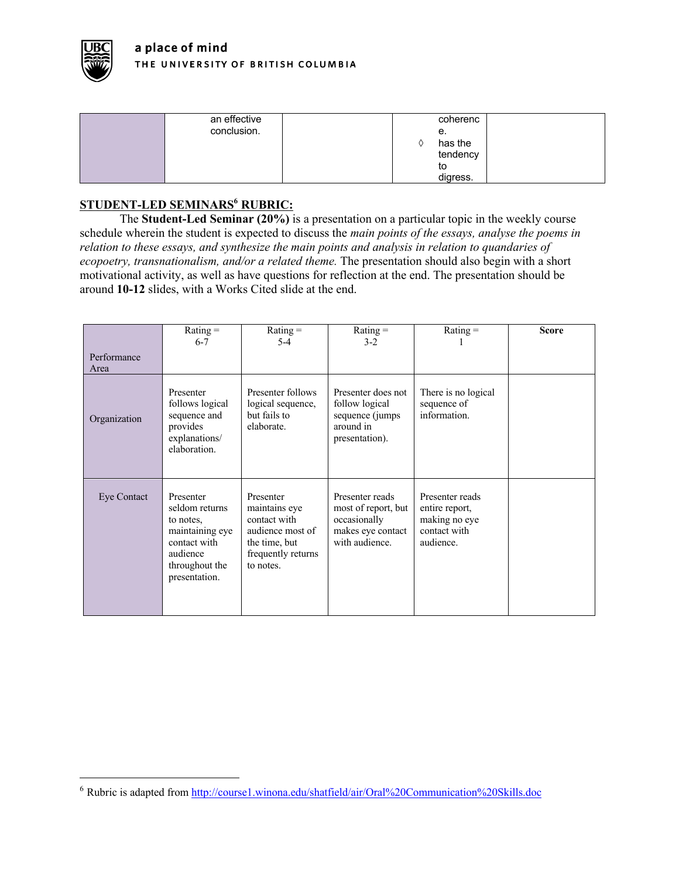

| an effective | coherenc |
|--------------|----------|
| conclusion.  | е.       |
|              | has the  |
|              | tendency |
|              | to       |
|              | digress. |

# **STUDENT-LED SEMINARS6 RUBRIC:**

The **Student-Led Seminar (20%)** is a presentation on a particular topic in the weekly course schedule wherein the student is expected to discuss the *main points of the essays, analyse the poems in relation to these essays, and synthesize the main points and analysis in relation to quandaries of ecopoetry, transnationalism, and/or a related theme.* The presentation should also begin with a short motivational activity, as well as have questions for reflection at the end. The presentation should be around **10-12** slides, with a Works Cited slide at the end.

|                     | $Rating =$<br>$6 - 7$                                                                                                      | $Rating =$<br>$5-4$                                                                                                | $Rating =$<br>$3-2$                                                                           | Rating $=$                                                                      | <b>Score</b> |
|---------------------|----------------------------------------------------------------------------------------------------------------------------|--------------------------------------------------------------------------------------------------------------------|-----------------------------------------------------------------------------------------------|---------------------------------------------------------------------------------|--------------|
| Performance<br>Area |                                                                                                                            |                                                                                                                    |                                                                                               |                                                                                 |              |
| Organization        | Presenter<br>follows logical<br>sequence and<br>provides<br>explanations/<br>elaboration.                                  | Presenter follows<br>logical sequence,<br>but fails to<br>elaborate.                                               | Presenter does not<br>follow logical<br>sequence (jumps<br>around in<br>presentation).        | There is no logical<br>sequence of<br>information.                              |              |
| Eye Contact         | Presenter<br>seldom returns<br>to notes,<br>maintaining eye<br>contact with<br>audience<br>throughout the<br>presentation. | Presenter<br>maintains eye<br>contact with<br>audience most of<br>the time, but<br>frequently returns<br>to notes. | Presenter reads<br>most of report, but<br>occasionally<br>makes eye contact<br>with audience. | Presenter reads<br>entire report,<br>making no eye<br>contact with<br>audience. |              |

<sup>6</sup> Rubric is adapted from http://course1.winona.edu/shatfield/air/Oral%20Communication%20Skills.doc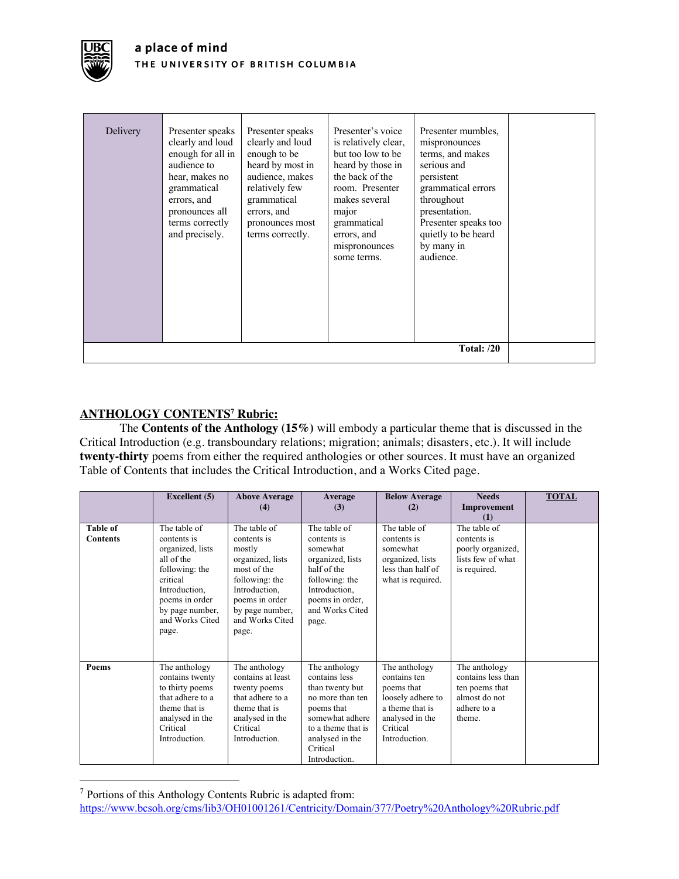

# **ANTHOLOGY CONTENTS7 Rubric:**

The **Contents of the Anthology (15%)** will embody a particular theme that is discussed in the Critical Introduction (e.g. transboundary relations; migration; animals; disasters, etc.). It will include **twenty-thirty** poems from either the required anthologies or other sources. It must have an organized Table of Contents that includes the Critical Introduction, and a Works Cited page.

|                                    | <b>Excellent</b> (5)                                                                                                                                                          | <b>Above Average</b><br>(4)                                                                                                                                                  | Average<br>(3)                                                                                                                                                               | <b>Below Average</b><br>(2)                                                                                                         | <b>Needs</b><br>Improvement<br>(1)                                                              | <b>TOTAL</b> |
|------------------------------------|-------------------------------------------------------------------------------------------------------------------------------------------------------------------------------|------------------------------------------------------------------------------------------------------------------------------------------------------------------------------|------------------------------------------------------------------------------------------------------------------------------------------------------------------------------|-------------------------------------------------------------------------------------------------------------------------------------|-------------------------------------------------------------------------------------------------|--------------|
| <b>Table of</b><br><b>Contents</b> | The table of<br>contents is<br>organized, lists<br>all of the<br>following: the<br>critical<br>Introduction.<br>poems in order<br>by page number,<br>and Works Cited<br>page. | The table of<br>contents is<br>mostly<br>organized, lists<br>most of the<br>following: the<br>Introduction.<br>poems in order<br>by page number,<br>and Works Cited<br>page. | The table of<br>contents is<br>somewhat<br>organized, lists<br>half of the<br>following: the<br>Introduction,<br>poems in order,<br>and Works Cited<br>page.                 | The table of<br>contents is<br>somewhat<br>organized, lists<br>less than half of<br>what is required.                               | The table of<br>contents is<br>poorly organized,<br>lists few of what<br>is required.           |              |
| <b>Poems</b>                       | The anthology<br>contains twenty<br>to thirty poems<br>that adhere to a<br>theme that is<br>analysed in the<br>Critical<br>Introduction.                                      | The anthology<br>contains at least<br>twenty poems<br>that adhere to a<br>theme that is<br>analysed in the<br>Critical<br>Introduction.                                      | The anthology<br>contains less<br>than twenty but<br>no more than ten<br>poems that<br>somewhat adhere<br>to a theme that is<br>analysed in the<br>Critical<br>Introduction. | The anthology<br>contains ten<br>poems that<br>loosely adhere to<br>a theme that is<br>analysed in the<br>Critical<br>Introduction. | The anthology<br>contains less than<br>ten poems that<br>almost do not<br>adhere to a<br>theme. |              |

<sup>7</sup> Portions of this Anthology Contents Rubric is adapted from:

https://www.bcsoh.org/cms/lib3/OH01001261/Centricity/Domain/377/Poetry%20Anthology%20Rubric.pdf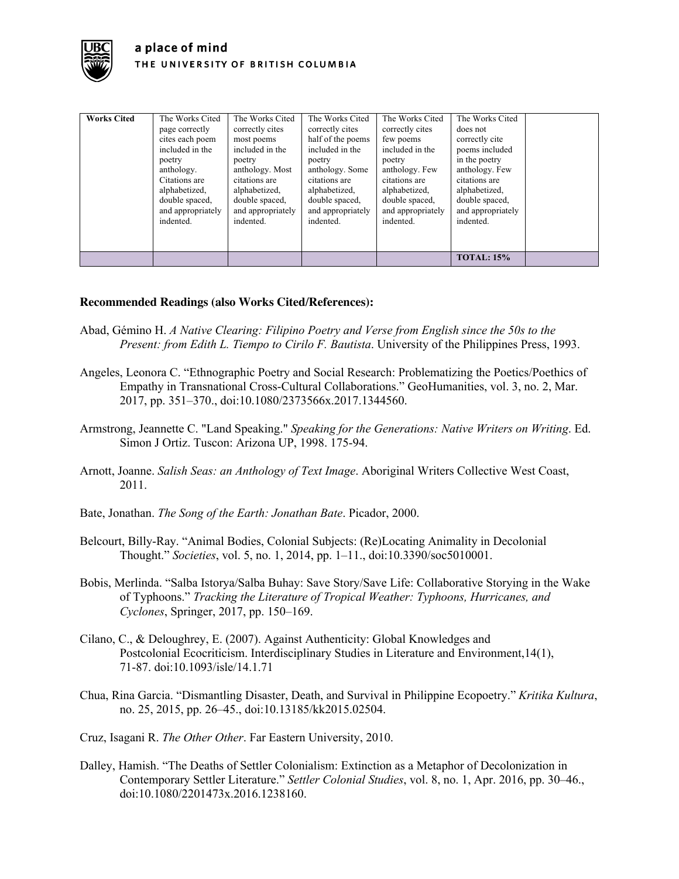

| <b>Works Cited</b> | The Works Cited<br>page correctly<br>cites each poem<br>included in the<br>poetry<br>anthology.<br>Citations are<br>alphabetized,<br>double spaced,<br>and appropriately<br>indented. | The Works Cited<br>correctly cites<br>most poems<br>included in the<br>poetry<br>anthology. Most<br>citations are<br>alphabetized,<br>double spaced,<br>and appropriately<br>indented. | The Works Cited<br>correctly cites<br>half of the poems<br>included in the<br>poetry<br>anthology. Some<br>citations are<br>alphabetized,<br>double spaced,<br>and appropriately<br>indented. | The Works Cited<br>correctly cites<br>few poems<br>included in the<br>poetry<br>anthology. Few<br>citations are<br>alphabetized,<br>double spaced,<br>and appropriately<br>indented. | The Works Cited<br>does not<br>correctly cite<br>poems included<br>in the poetry<br>anthology. Few<br>citations are<br>alphabetized,<br>double spaced,<br>and appropriately<br>indented. |  |
|--------------------|---------------------------------------------------------------------------------------------------------------------------------------------------------------------------------------|----------------------------------------------------------------------------------------------------------------------------------------------------------------------------------------|-----------------------------------------------------------------------------------------------------------------------------------------------------------------------------------------------|--------------------------------------------------------------------------------------------------------------------------------------------------------------------------------------|------------------------------------------------------------------------------------------------------------------------------------------------------------------------------------------|--|
|                    |                                                                                                                                                                                       |                                                                                                                                                                                        |                                                                                                                                                                                               |                                                                                                                                                                                      | <b>TOTAL: 15%</b>                                                                                                                                                                        |  |

# **Recommended Readings (also Works Cited/References):**

- Abad, Gémino H. *A Native Clearing: Filipino Poetry and Verse from English since the 50s to the Present: from Edith L. Tiempo to Cirilo F. Bautista*. University of the Philippines Press, 1993.
- Angeles, Leonora C. "Ethnographic Poetry and Social Research: Problematizing the Poetics/Poethics of Empathy in Transnational Cross-Cultural Collaborations." GeoHumanities, vol. 3, no. 2, Mar. 2017, pp. 351–370., doi:10.1080/2373566x.2017.1344560.
- Armstrong, Jeannette C. "Land Speaking." *Speaking for the Generations: Native Writers on Writing*. Ed. Simon J Ortiz. Tuscon: Arizona UP, 1998. 175-94.
- Arnott, Joanne. *Salish Seas: an Anthology of Text Image*. Aboriginal Writers Collective West Coast, 2011.
- Bate, Jonathan. *The Song of the Earth: Jonathan Bate*. Picador, 2000.
- Belcourt, Billy-Ray. "Animal Bodies, Colonial Subjects: (Re)Locating Animality in Decolonial Thought." *Societies*, vol. 5, no. 1, 2014, pp. 1–11., doi:10.3390/soc5010001.
- Bobis, Merlinda. "Salba Istorya/Salba Buhay: Save Story/Save Life: Collaborative Storying in the Wake of Typhoons." *Tracking the Literature of Tropical Weather: Typhoons, Hurricanes, and Cyclones*, Springer, 2017, pp. 150–169.
- Cilano, C., & Deloughrey, E. (2007). Against Authenticity: Global Knowledges and Postcolonial Ecocriticism. Interdisciplinary Studies in Literature and Environment,14(1), 71-87. doi:10.1093/isle/14.1.71
- Chua, Rina Garcia. "Dismantling Disaster, Death, and Survival in Philippine Ecopoetry." *Kritika Kultura*, no. 25, 2015, pp. 26–45., doi:10.13185/kk2015.02504.
- Cruz, Isagani R. *The Other Other*. Far Eastern University, 2010.
- Dalley, Hamish. "The Deaths of Settler Colonialism: Extinction as a Metaphor of Decolonization in Contemporary Settler Literature." *Settler Colonial Studies*, vol. 8, no. 1, Apr. 2016, pp. 30–46., doi:10.1080/2201473x.2016.1238160.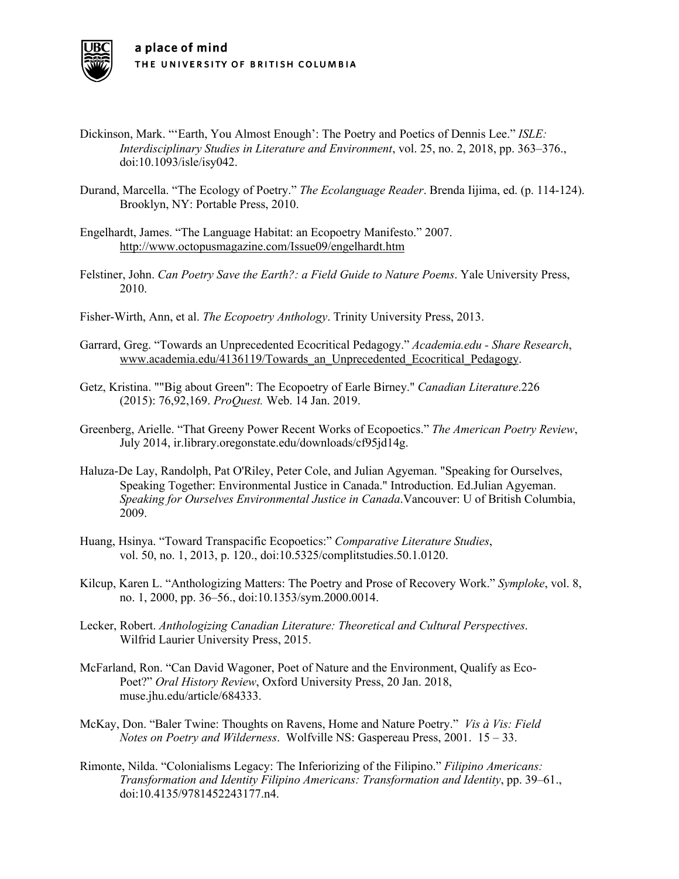

- Dickinson, Mark. "'Earth, You Almost Enough': The Poetry and Poetics of Dennis Lee." *ISLE: Interdisciplinary Studies in Literature and Environment*, vol. 25, no. 2, 2018, pp. 363–376., doi:10.1093/isle/isy042.
- Durand, Marcella. "The Ecology of Poetry." *The Ecolanguage Reader*. Brenda Iijima, ed. (p. 114-124). Brooklyn, NY: Portable Press, 2010.
- Engelhardt, James. "The Language Habitat: an Ecopoetry Manifesto." 2007. http://www.octopusmagazine.com/Issue09/engelhardt.htm
- Felstiner, John. *Can Poetry Save the Earth?: a Field Guide to Nature Poems*. Yale University Press, 2010.
- Fisher-Wirth, Ann, et al. *The Ecopoetry Anthology*. Trinity University Press, 2013.
- Garrard, Greg. "Towards an Unprecedented Ecocritical Pedagogy." *Academia.edu - Share Research*, www.academia.edu/4136119/Towards\_an\_Unprecedented\_Ecocritical\_Pedagogy.
- Getz, Kristina. ""Big about Green": The Ecopoetry of Earle Birney." *Canadian Literature*.226 (2015): 76,92,169. *ProQuest.* Web. 14 Jan. 2019.
- Greenberg, Arielle. "That Greeny Power Recent Works of Ecopoetics." *The American Poetry Review*, July 2014, ir.library.oregonstate.edu/downloads/cf95jd14g.
- Haluza-De Lay, Randolph, Pat O'Riley, Peter Cole, and Julian Agyeman. "Speaking for Ourselves, Speaking Together: Environmental Justice in Canada." Introduction. Ed.Julian Agyeman. *Speaking for Ourselves Environmental Justice in Canada*.Vancouver: U of British Columbia, 2009.
- Huang, Hsinya. "Toward Transpacific Ecopoetics:" *Comparative Literature Studies*, vol. 50, no. 1, 2013, p. 120., doi:10.5325/complitstudies.50.1.0120.
- Kilcup, Karen L. "Anthologizing Matters: The Poetry and Prose of Recovery Work." *Symploke*, vol. 8, no. 1, 2000, pp. 36–56., doi:10.1353/sym.2000.0014.
- Lecker, Robert. *Anthologizing Canadian Literature: Theoretical and Cultural Perspectives*. Wilfrid Laurier University Press, 2015.
- McFarland, Ron. "Can David Wagoner, Poet of Nature and the Environment, Qualify as Eco-Poet?" *Oral History Review*, Oxford University Press, 20 Jan. 2018, muse.jhu.edu/article/684333.
- McKay, Don. "Baler Twine: Thoughts on Ravens, Home and Nature Poetry." *Vis à Vis: Field Notes on Poetry and Wilderness*. Wolfville NS: Gaspereau Press, 2001. 15 – 33.
- Rimonte, Nilda. "Colonialisms Legacy: The Inferiorizing of the Filipino." *Filipino Americans: Transformation and Identity Filipino Americans: Transformation and Identity*, pp. 39–61., doi:10.4135/9781452243177.n4.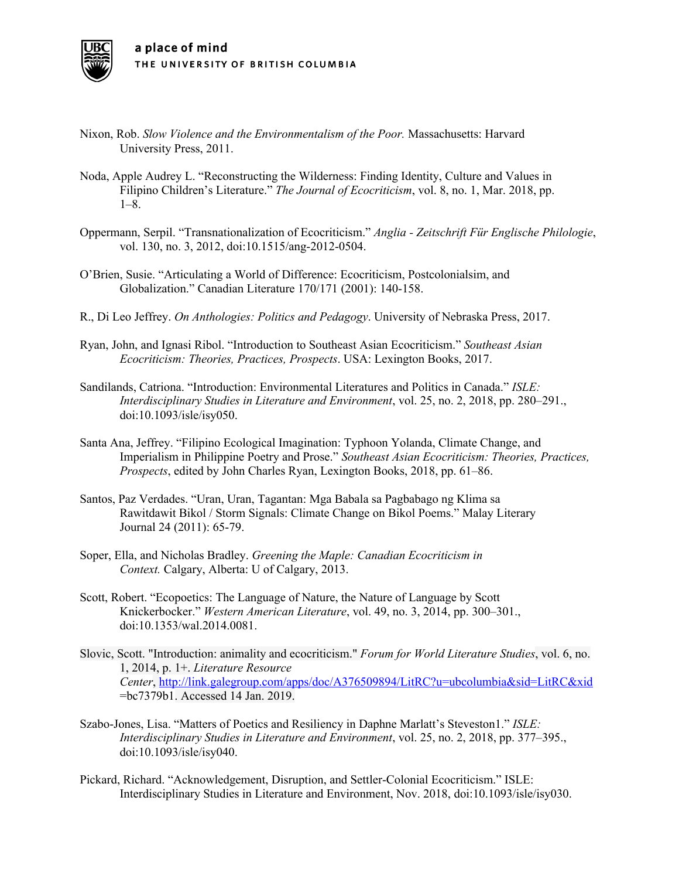

- Nixon, Rob. *Slow Violence and the Environmentalism of the Poor.* Massachusetts: Harvard University Press, 2011.
- Noda, Apple Audrey L. "Reconstructing the Wilderness: Finding Identity, Culture and Values in Filipino Children's Literature." *The Journal of Ecocriticism*, vol. 8, no. 1, Mar. 2018, pp. 1–8.
- Oppermann, Serpil. "Transnationalization of Ecocriticism." *Anglia - Zeitschrift Für Englische Philologie*, vol. 130, no. 3, 2012, doi:10.1515/ang-2012-0504.
- O'Brien, Susie. "Articulating a World of Difference: Ecocriticism, Postcolonialsim, and Globalization." Canadian Literature 170/171 (2001): 140-158.
- R., Di Leo Jeffrey. *On Anthologies: Politics and Pedagogy*. University of Nebraska Press, 2017.
- Ryan, John, and Ignasi Ribol. "Introduction to Southeast Asian Ecocriticism." *Southeast Asian Ecocriticism: Theories, Practices, Prospects*. USA: Lexington Books, 2017.
- Sandilands, Catriona. "Introduction: Environmental Literatures and Politics in Canada." *ISLE: Interdisciplinary Studies in Literature and Environment*, vol. 25, no. 2, 2018, pp. 280–291., doi:10.1093/isle/isy050.
- Santa Ana, Jeffrey. "Filipino Ecological Imagination: Typhoon Yolanda, Climate Change, and Imperialism in Philippine Poetry and Prose." *Southeast Asian Ecocriticism: Theories, Practices, Prospects*, edited by John Charles Ryan, Lexington Books, 2018, pp. 61–86.
- Santos, Paz Verdades. "Uran, Uran, Tagantan: Mga Babala sa Pagbabago ng Klima sa Rawitdawit Bikol / Storm Signals: Climate Change on Bikol Poems." Malay Literary Journal 24 (2011): 65-79.
- Soper, Ella, and Nicholas Bradley. *Greening the Maple: Canadian Ecocriticism in Context.* Calgary, Alberta: U of Calgary, 2013.
- Scott, Robert. "Ecopoetics: The Language of Nature, the Nature of Language by Scott Knickerbocker." *Western American Literature*, vol. 49, no. 3, 2014, pp. 300–301., doi:10.1353/wal.2014.0081.
- Slovic, Scott. "Introduction: animality and ecocriticism." *Forum for World Literature Studies*, vol. 6, no. 1, 2014, p. 1+. *Literature Resource Center*, http://link.galegroup.com/apps/doc/A376509894/LitRC?u=ubcolumbia&sid=LitRC&xid =bc7379b1. Accessed 14 Jan. 2019.
- Szabo-Jones, Lisa. "Matters of Poetics and Resiliency in Daphne Marlatt's Steveston1." *ISLE: Interdisciplinary Studies in Literature and Environment*, vol. 25, no. 2, 2018, pp. 377–395., doi:10.1093/isle/isy040.
- Pickard, Richard. "Acknowledgement, Disruption, and Settler-Colonial Ecocriticism." ISLE: Interdisciplinary Studies in Literature and Environment, Nov. 2018, doi:10.1093/isle/isy030.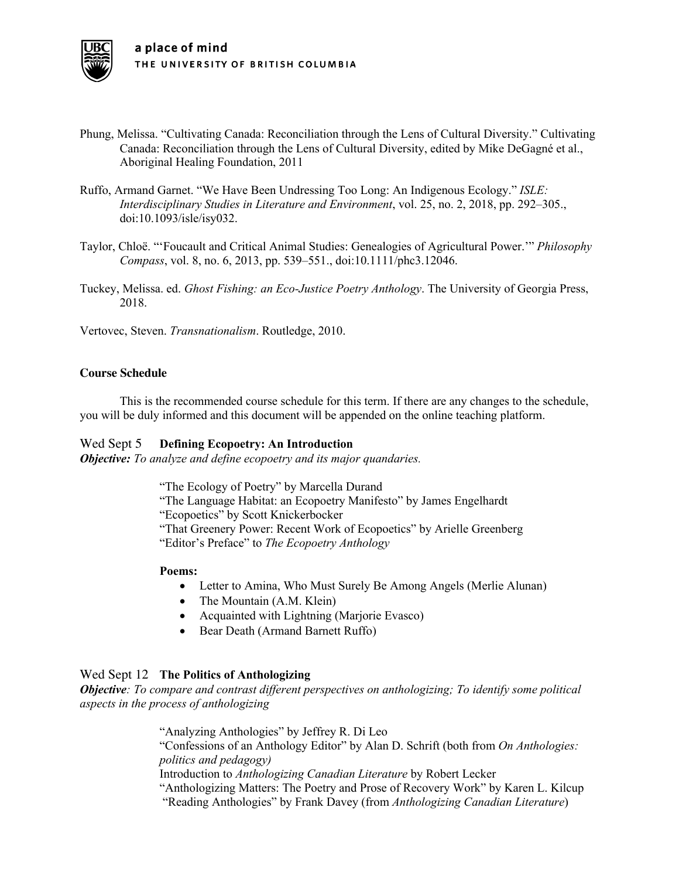- Phung, Melissa. "Cultivating Canada: Reconciliation through the Lens of Cultural Diversity." Cultivating Canada: Reconciliation through the Lens of Cultural Diversity, edited by Mike DeGagné et al., Aboriginal Healing Foundation, 2011
- Ruffo, Armand Garnet. "We Have Been Undressing Too Long: An Indigenous Ecology." *ISLE: Interdisciplinary Studies in Literature and Environment*, vol. 25, no. 2, 2018, pp. 292–305., doi:10.1093/isle/isy032.
- Taylor, Chloë. "'Foucault and Critical Animal Studies: Genealogies of Agricultural Power.'" *Philosophy Compass*, vol. 8, no. 6, 2013, pp. 539–551., doi:10.1111/phc3.12046.
- Tuckey, Melissa. ed. *Ghost Fishing: an Eco-Justice Poetry Anthology*. The University of Georgia Press, 2018.
- Vertovec, Steven. *Transnationalism*. Routledge, 2010.

#### **Course Schedule**

This is the recommended course schedule for this term. If there are any changes to the schedule, you will be duly informed and this document will be appended on the online teaching platform.

#### Wed Sept 5 **Defining Ecopoetry: An Introduction**

*Objective: To analyze and define ecopoetry and its major quandaries.*

"The Ecology of Poetry" by Marcella Durand

"The Language Habitat: an Ecopoetry Manifesto" by James Engelhardt

"Ecopoetics" by Scott Knickerbocker

"That Greenery Power: Recent Work of Ecopoetics" by Arielle Greenberg

"Editor's Preface" to *The Ecopoetry Anthology*

#### **Poems:**

- Letter to Amina, Who Must Surely Be Among Angels (Merlie Alunan)
- The Mountain (A.M. Klein)
- Acquainted with Lightning (Marjorie Evasco)
- Bear Death (Armand Barnett Ruffo)

# Wed Sept 12 **The Politics of Anthologizing**

*Objective: To compare and contrast different perspectives on anthologizing; To identify some political aspects in the process of anthologizing*

> "Analyzing Anthologies" by Jeffrey R. Di Leo "Confessions of an Anthology Editor" by Alan D. Schrift (both from *On Anthologies: politics and pedagogy)* Introduction to *Anthologizing Canadian Literature* by Robert Lecker "Anthologizing Matters: The Poetry and Prose of Recovery Work" by Karen L. Kilcup "Reading Anthologies" by Frank Davey (from *Anthologizing Canadian Literature*)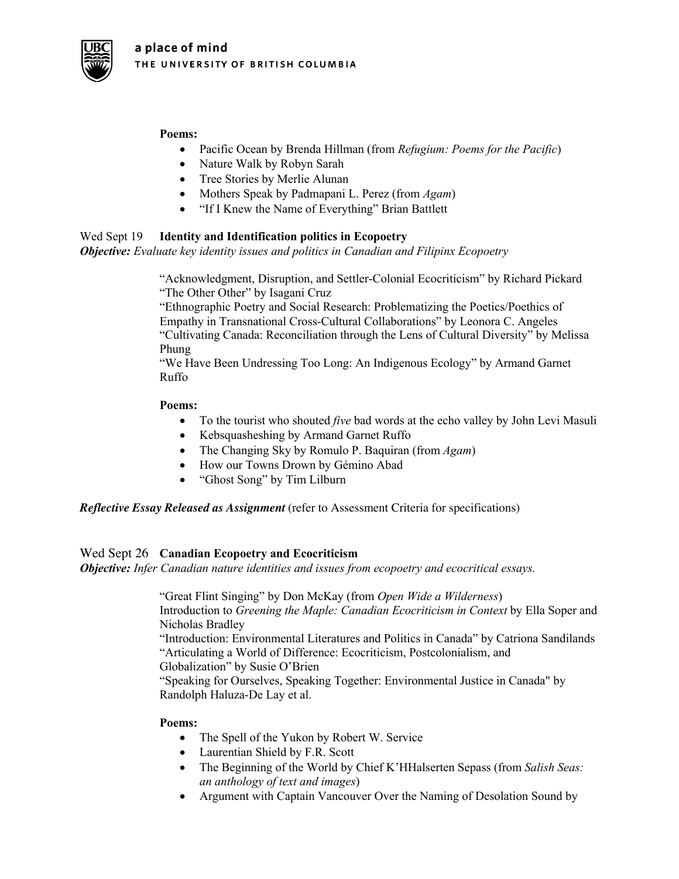

# **Poems:**

- Pacific Ocean by Brenda Hillman (from *Refugium: Poems for the Pacific*)
- Nature Walk by Robyn Sarah
- Tree Stories by Merlie Alunan
- Mothers Speak by Padmapani L. Perez (from *Agam*)
- "If I Knew the Name of Everything" Brian Battlett

# Wed Sept 19 **Identity and Identification politics in Ecopoetry**

*Objective: Evaluate key identity issues and politics in Canadian and Filipinx Ecopoetry*

"Acknowledgment, Disruption, and Settler-Colonial Ecocriticism" by Richard Pickard "The Other Other" by Isagani Cruz

"Ethnographic Poetry and Social Research: Problematizing the Poetics/Poethics of Empathy in Transnational Cross-Cultural Collaborations" by Leonora C. Angeles "Cultivating Canada: Reconciliation through the Lens of Cultural Diversity" by Melissa Phung

"We Have Been Undressing Too Long: An Indigenous Ecology" by Armand Garnet Ruffo

# **Poems:**

- To the tourist who shouted *five* bad words at the echo valley by John Levi Masuli
- Kebsquasheshing by Armand Garnet Ruffo
- The Changing Sky by Romulo P. Baquiran (from *Agam*)
- How our Towns Drown by Gémino Abad
- "Ghost Song" by Tim Lilburn

*Reflective Essay Released as Assignment* (refer to Assessment Criteria for specifications)

# Wed Sept 26 **Canadian Ecopoetry and Ecocriticism**

*Objective: Infer Canadian nature identities and issues from ecopoetry and ecocritical essays.*

"Great Flint Singing" by Don McKay (from *Open Wide a Wilderness*) Introduction to *Greening the Maple: Canadian Ecocriticism in Context* by Ella Soper and Nicholas Bradley "Introduction: Environmental Literatures and Politics in Canada" by Catriona Sandilands "Articulating a World of Difference: Ecocriticism, Postcolonialism, and Globalization" by Susie O'Brien "Speaking for Ourselves, Speaking Together: Environmental Justice in Canada" by Randolph Haluza-De Lay et al.

# **Poems:**

- The Spell of the Yukon by Robert W. Service
- Laurentian Shield by F.R. Scott
- The Beginning of the World by Chief K'HHalserten Sepass (from *Salish Seas: an anthology of text and images*)
- Argument with Captain Vancouver Over the Naming of Desolation Sound by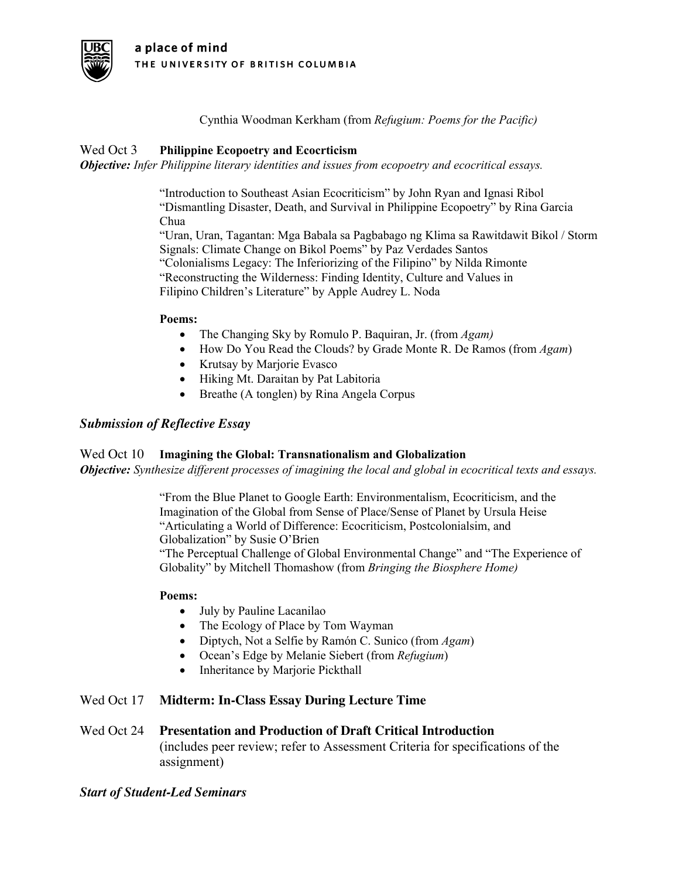

Cynthia Woodman Kerkham (from *Refugium: Poems for the Pacific)*

# Wed Oct 3 **Philippine Ecopoetry and Ecocrticism**

*Objective: Infer Philippine literary identities and issues from ecopoetry and ecocritical essays.*

"Introduction to Southeast Asian Ecocriticism" by John Ryan and Ignasi Ribol "Dismantling Disaster, Death, and Survival in Philippine Ecopoetry" by Rina Garcia Chua "Uran, Uran, Tagantan: Mga Babala sa Pagbabago ng Klima sa Rawitdawit Bikol / Storm Signals: Climate Change on Bikol Poems" by Paz Verdades Santos "Colonialisms Legacy: The Inferiorizing of the Filipino" by Nilda Rimonte "Reconstructing the Wilderness: Finding Identity, Culture and Values in Filipino Children's Literature" by Apple Audrey L. Noda

# **Poems:**

- The Changing Sky by Romulo P. Baquiran, Jr. (from *Agam)*
- How Do You Read the Clouds? by Grade Monte R. De Ramos (from *Agam*)
- Krutsay by Marjorie Evasco
- Hiking Mt. Daraitan by Pat Labitoria
- Breathe (A tonglen) by Rina Angela Corpus

# *Submission of Reflective Essay*

# Wed Oct 10 **Imagining the Global: Transnationalism and Globalization**

*Objective: Synthesize different processes of imagining the local and global in ecocritical texts and essays.* 

"From the Blue Planet to Google Earth: Environmentalism, Ecocriticism, and the Imagination of the Global from Sense of Place/Sense of Planet by Ursula Heise "Articulating a World of Difference: Ecocriticism, Postcolonialsim, and Globalization" by Susie O'Brien "The Perceptual Challenge of Global Environmental Change" and "The Experience of Globality" by Mitchell Thomashow (from *Bringing the Biosphere Home)*

# **Poems:**

- July by Pauline Lacanilao
- The Ecology of Place by Tom Wayman
- Diptych, Not a Selfie by Ramón C. Sunico (from *Agam*)
- Ocean's Edge by Melanie Siebert (from *Refugium*)
- Inheritance by Marjorie Pickthall

# Wed Oct 17 **Midterm: In-Class Essay During Lecture Time**

Wed Oct 24 **Presentation and Production of Draft Critical Introduction** (includes peer review; refer to Assessment Criteria for specifications of the assignment)

# *Start of Student-Led Seminars*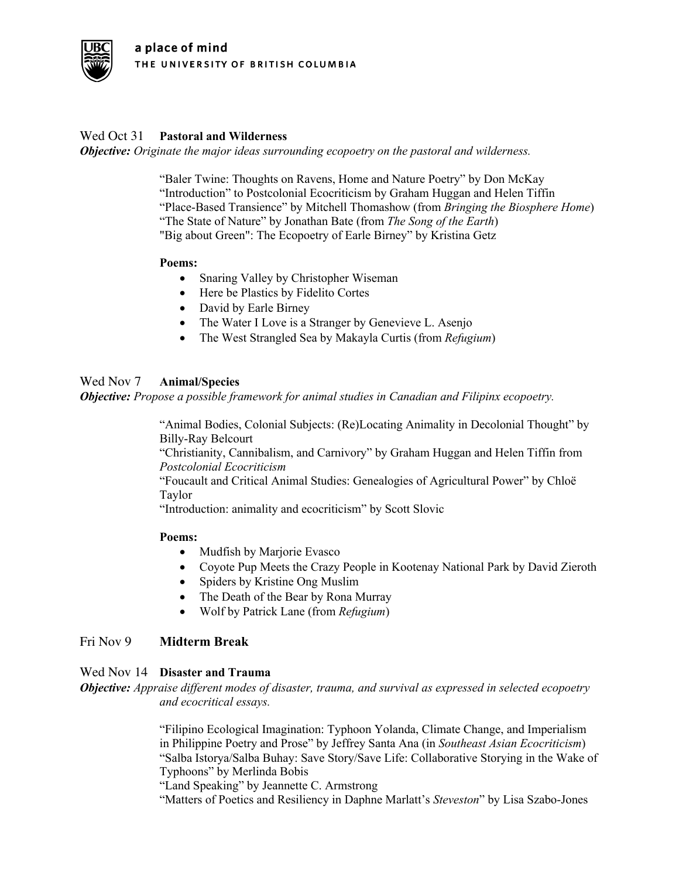

# Wed Oct 31 **Pastoral and Wilderness**

*Objective: Originate the major ideas surrounding ecopoetry on the pastoral and wilderness.* 

"Baler Twine: Thoughts on Ravens, Home and Nature Poetry" by Don McKay "Introduction" to Postcolonial Ecocriticism by Graham Huggan and Helen Tiffin "Place-Based Transience" by Mitchell Thomashow (from *Bringing the Biosphere Home*) "The State of Nature" by Jonathan Bate (from *The Song of the Earth*) "Big about Green": The Ecopoetry of Earle Birney" by Kristina Getz

#### **Poems:**

- Snaring Valley by Christopher Wiseman
- Here be Plastics by Fidelito Cortes
- David by Earle Birney
- The Water I Love is a Stranger by Genevieve L. Asenjo
- The West Strangled Sea by Makayla Curtis (from *Refugium*)

# Wed Nov 7 **Animal/Species**

*Objective: Propose a possible framework for animal studies in Canadian and Filipinx ecopoetry.* 

"Animal Bodies, Colonial Subjects: (Re)Locating Animality in Decolonial Thought" by Billy-Ray Belcourt

"Christianity, Cannibalism, and Carnivory" by Graham Huggan and Helen Tiffin from *Postcolonial Ecocriticism*

"Foucault and Critical Animal Studies: Genealogies of Agricultural Power" by Chloë Taylor

"Introduction: animality and ecocriticism" by Scott Slovic

# **Poems:**

- Mudfish by Marjorie Evasco
- Coyote Pup Meets the Crazy People in Kootenay National Park by David Zieroth
- Spiders by Kristine Ong Muslim
- The Death of the Bear by Rona Murray
- Wolf by Patrick Lane (from *Refugium*)

# Fri Nov 9 **Midterm Break**

# Wed Nov 14 **Disaster and Trauma**

*Objective: Appraise different modes of disaster, trauma, and survival as expressed in selected ecopoetry and ecocritical essays.* 

> "Filipino Ecological Imagination: Typhoon Yolanda, Climate Change, and Imperialism in Philippine Poetry and Prose" by Jeffrey Santa Ana (in *Southeast Asian Ecocriticism*) "Salba Istorya/Salba Buhay: Save Story/Save Life: Collaborative Storying in the Wake of Typhoons" by Merlinda Bobis

"Land Speaking" by Jeannette C. Armstrong

"Matters of Poetics and Resiliency in Daphne Marlatt's *Steveston*" by Lisa Szabo-Jones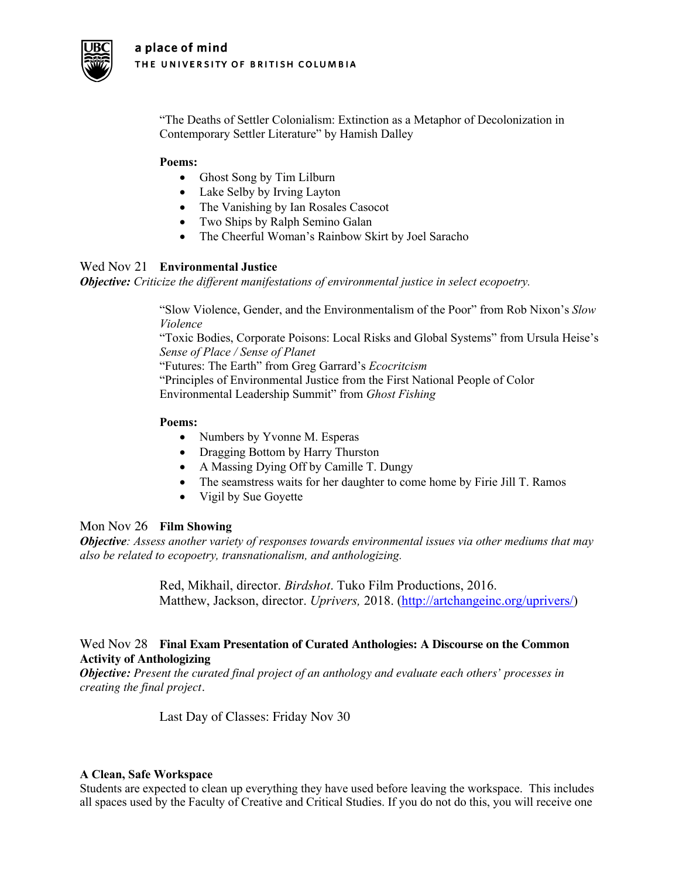

"The Deaths of Settler Colonialism: Extinction as a Metaphor of Decolonization in Contemporary Settler Literature" by Hamish Dalley

# **Poems:**

- Ghost Song by Tim Lilburn
- Lake Selby by Irving Layton
- The Vanishing by Ian Rosales Casocot
- Two Ships by Ralph Semino Galan
- The Cheerful Woman's Rainbow Skirt by Joel Saracho

# Wed Nov 21 **Environmental Justice**

*Objective: Criticize the different manifestations of environmental justice in select ecopoetry.* 

"Slow Violence, Gender, and the Environmentalism of the Poor" from Rob Nixon's *Slow Violence*

"Toxic Bodies, Corporate Poisons: Local Risks and Global Systems" from Ursula Heise's *Sense of Place / Sense of Planet*

"Futures: The Earth" from Greg Garrard's *Ecocritcism*

"Principles of Environmental Justice from the First National People of Color Environmental Leadership Summit" from *Ghost Fishing*

# **Poems:**

- Numbers by Yvonne M. Esperas
- Dragging Bottom by Harry Thurston
- A Massing Dying Off by Camille T. Dungy
- The seamstress waits for her daughter to come home by Firie Jill T. Ramos
- Vigil by Sue Goyette

# Mon Nov 26 **Film Showing**

*Objective: Assess another variety of responses towards environmental issues via other mediums that may also be related to ecopoetry, transnationalism, and anthologizing.* 

> Red, Mikhail, director. *Birdshot*. Tuko Film Productions, 2016. Matthew, Jackson, director. *Uprivers,* 2018. (http://artchangeinc.org/uprivers/)

# Wed Nov 28 **Final Exam Presentation of Curated Anthologies: A Discourse on the Common Activity of Anthologizing**

*Objective: Present the curated final project of an anthology and evaluate each others' processes in creating the final project.* 

Last Day of Classes: Friday Nov 30

# **A Clean, Safe Workspace**

Students are expected to clean up everything they have used before leaving the workspace. This includes all spaces used by the Faculty of Creative and Critical Studies. If you do not do this, you will receive one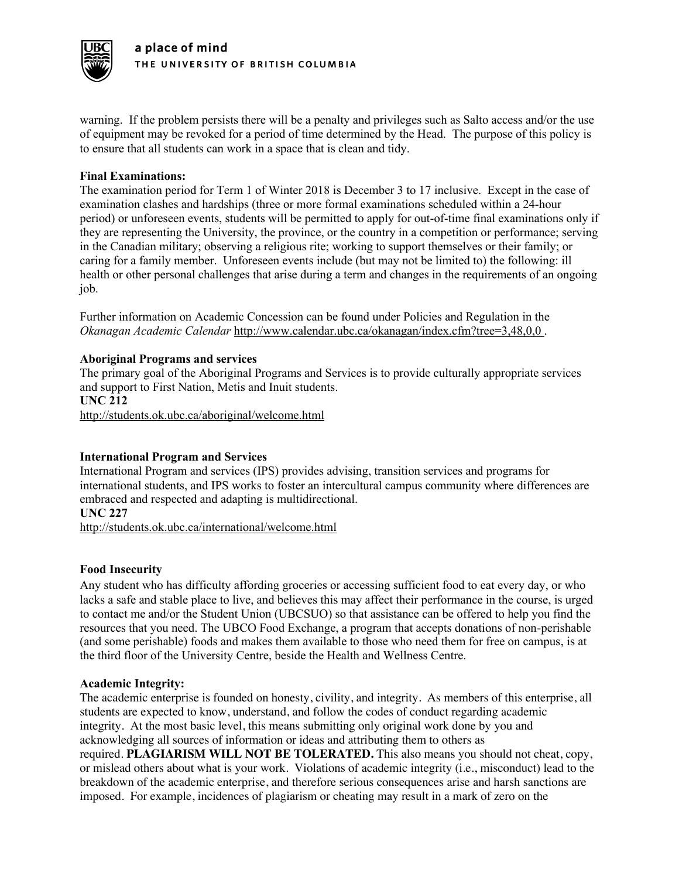

warning. If the problem persists there will be a penalty and privileges such as Salto access and/or the use of equipment may be revoked for a period of time determined by the Head. The purpose of this policy is to ensure that all students can work in a space that is clean and tidy.

# **Final Examinations:**

The examination period for Term 1 of Winter 2018 is December 3 to 17 inclusive. Except in the case of examination clashes and hardships (three or more formal examinations scheduled within a 24-hour period) or unforeseen events, students will be permitted to apply for out-of-time final examinations only if they are representing the University, the province, or the country in a competition or performance; serving in the Canadian military; observing a religious rite; working to support themselves or their family; or caring for a family member. Unforeseen events include (but may not be limited to) the following: ill health or other personal challenges that arise during a term and changes in the requirements of an ongoing job.

Further information on Academic Concession can be found under Policies and Regulation in the *Okanagan Academic Calendar* http://www.calendar.ubc.ca/okanagan/index.cfm?tree=3,48,0,0 .

# **Aboriginal Programs and services**

The primary goal of the Aboriginal Programs and Services is to provide culturally appropriate services and support to First Nation, Metis and Inuit students. **UNC 212**

http://students.ok.ubc.ca/aboriginal/welcome.html

# **International Program and Services**

International Program and services (IPS) provides advising, transition services and programs for international students, and IPS works to foster an intercultural campus community where differences are embraced and respected and adapting is multidirectional. **UNC 227**

http://students.ok.ubc.ca/international/welcome.html

#### **Food Insecurity**

Any student who has difficulty affording groceries or accessing sufficient food to eat every day, or who lacks a safe and stable place to live, and believes this may affect their performance in the course, is urged to contact me and/or the Student Union (UBCSUO) so that assistance can be offered to help you find the resources that you need. The UBCO Food Exchange, a program that accepts donations of non-perishable (and some perishable) foods and makes them available to those who need them for free on campus, is at the third floor of the University Centre, beside the Health and Wellness Centre.

#### **Academic Integrity:**

The academic enterprise is founded on honesty, civility, and integrity. As members of this enterprise, all students are expected to know, understand, and follow the codes of conduct regarding academic integrity. At the most basic level, this means submitting only original work done by you and acknowledging all sources of information or ideas and attributing them to others as required. **PLAGIARISM WILL NOT BE TOLERATED.** This also means you should not cheat, copy, or mislead others about what is your work. Violations of academic integrity (i.e., misconduct) lead to the breakdown of the academic enterprise, and therefore serious consequences arise and harsh sanctions are imposed. For example, incidences of plagiarism or cheating may result in a mark of zero on the